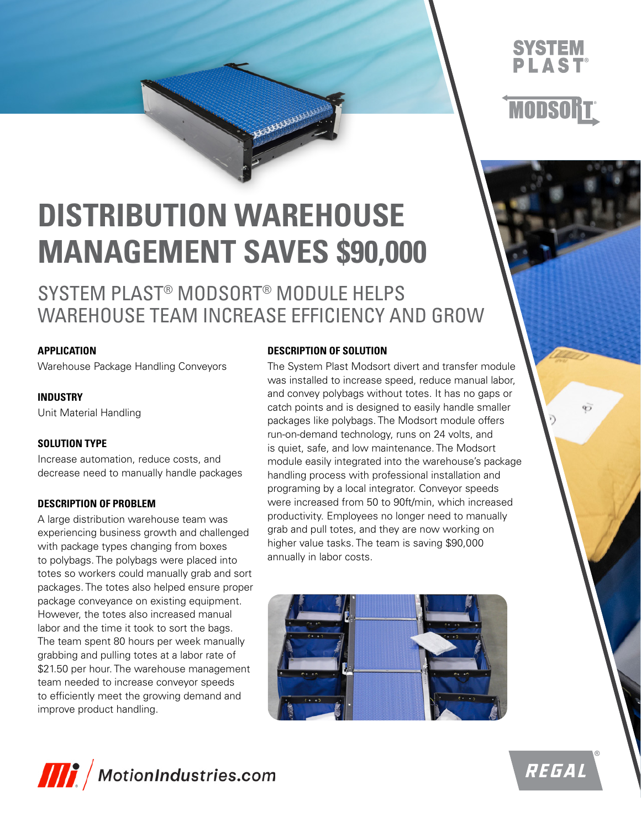### **SYSTEM PLAST®**



Ò

# **DISTRIBUTION WAREHOUSE MANAGEMENT SAVES \$90,000**

### SYSTEM PLAST® MODSORT® MODULE HELPS WAREHOUSE TEAM INCREASE EFFICIENCY AND GROW

**ARRAIGHAMM** 

#### **APPLICATION**

Warehouse Package Handling Conveyors

#### **INDUSTRY**

Unit Material Handling

#### **SOLUTION TYPE**

Increase automation, reduce costs, and decrease need to manually handle packages

#### **DESCRIPTION OF PROBLEM**

A large distribution warehouse team was experiencing business growth and challenged with package types changing from boxes to polybags. The polybags were placed into totes so workers could manually grab and sort packages. The totes also helped ensure proper package conveyance on existing equipment. However, the totes also increased manual labor and the time it took to sort the bags. The team spent 80 hours per week manually grabbing and pulling totes at a labor rate of \$21.50 per hour. The warehouse management team needed to increase conveyor speeds to efficiently meet the growing demand and improve product handling.

#### **DESCRIPTION OF SOLUTION**

The System Plast Modsort divert and transfer module was installed to increase speed, reduce manual labor, and convey polybags without totes. It has no gaps or catch points and is designed to easily handle smaller packages like polybags. The Modsort module offers run-on-demand technology, runs on 24 volts, and is quiet, safe, and low maintenance. The Modsort module easily integrated into the warehouse's package handling process with professional installation and programing by a local integrator. Conveyor speeds were increased from 50 to 90ft/min, which increased productivity. Employees no longer need to manually grab and pull totes, and they are now working on higher value tasks. The team is saving \$90,000 annually in labor costs.





REGAL